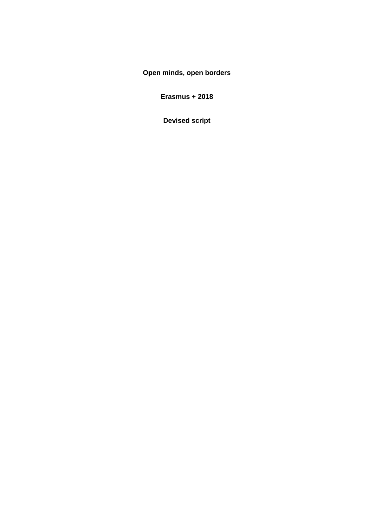**Open minds, open borders** 

**Erasmus + 2018**

**Devised script**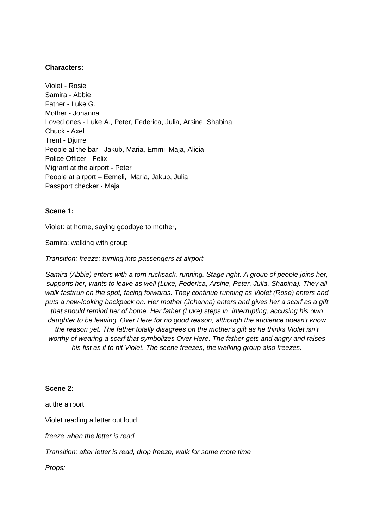## **Characters:**

Violet - Rosie Samira - Abbie Father - Luke G. Mother - Johanna Loved ones - Luke A., Peter, Federica, Julia, Arsine, Shabina Chuck - Axel Trent - Djurre People at the bar - Jakub, Maria, Emmi, Maja, Alicia Police Officer - Felix Migrant at the airport - Peter People at airport – Eemeli, Maria, Jakub, Julia Passport checker - Maja

# **Scene 1:**

Violet: at home, saying goodbye to mother,

Samira: walking with group

*Transition: freeze; turning into passengers at airport*

*Samira (Abbie) enters with a torn rucksack, running. Stage right. A group of people joins her, supports her, wants to leave as well (Luke, Federica, Arsine, Peter, Julia, Shabina). They all walk fast/run on the spot, facing forwards. They continue running as Violet (Rose) enters and puts a new-looking backpack on. Her mother (Johanna) enters and gives her a scarf as a gift that should remind her of home. Her father (Luke) steps in, interrupting, accusing his own daughter to be leaving Over Here for no good reason, although the audience doesn't know the reason yet. The father totally disagrees on the mother's gift as he thinks Violet isn't worthy of wearing a scarf that symbolizes Over Here. The father gets and angry and raises his fist as if to hit Violet. The scene freezes, the walking group also freezes.* 

## **Scene 2:**

at the airport

Violet reading a letter out loud

*freeze when the letter is read*

*Transition: after letter is read, drop freeze, walk for some more time*

*Props:*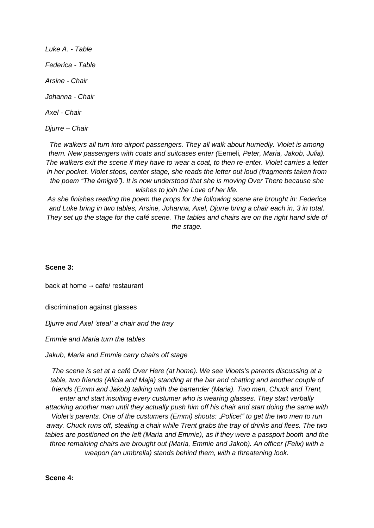*Luke A. - Table Federica - Table Arsine - Chair Johanna - Chair Axel - Chair Djurre – Chair*

*The walkers all turn into airport passengers. They all walk about hurriedly. Violet is among them. New passengers with coats and suitcases enter (*Eemeli*, Peter, Maria, Jakob, Julia). The walkers exit the scene if they have to wear a coat, to then re-enter. Violet carries a letter in her pocket. Violet stops, center stage, she reads the letter out loud (fragments taken from the poem "The émigré"). It is now understood that she is moving Over There because she wishes to join the Love of her life.* 

*As she finishes reading the poem the props for the following scene are brought in: Federica and Luke bring in two tables, Arsine, Johanna, Axel, Djurre bring a chair each in, 3 in total. They set up the stage for the café scene. The tables and chairs are on the right hand side of the stage.* 

## **Scene 3:**

back at home  $\rightarrow$  cafe/ restaurant

discrimination against glasses

*Djurre and Axel 'steal' a chair and the tray*

*Emmie and Maria turn the tables*

*Jakub, Maria and Emmie carry chairs off stage*

*The scene is set at a café Over Here (at home). We see Vioets's parents discussing at a table, two friends (Alicia and Maja) standing at the bar and chatting and another couple of friends (Emmi and Jakob) talking with the bartender (Maria). Two men, Chuck and Trent, enter and start insulting every custumer who is wearing glasses. They start verbally attacking another man until they actually push him off his chair and start doing the same with Violet's parents. One of the custumers (Emmi) shouts: "Police!" to get the two men to run away. Chuck runs off, stealing a chair while Trent grabs the tray of drinks and flees. The two tables are positioned on the left (Maria and Emmie), as if they were a passport booth and the three remaining chairs are brought out (Maria, Emmie and Jakob). An officer (Felix) with a weapon (an umbrella) stands behind them, with a threatening look.* 

**Scene 4:**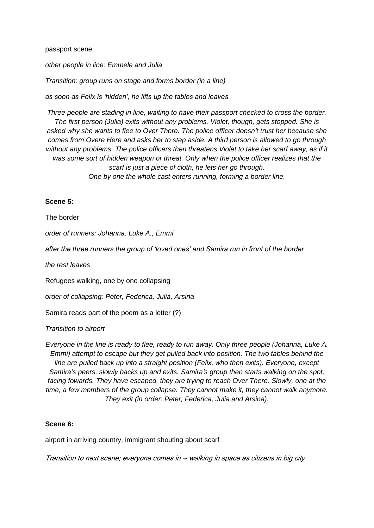passport scene

*other people in line: Emmele and Julia*

*Transition: group runs on stage and forms border (in a line)*

*as soon as Felix is 'hidden', he lifts up the tables and leaves*

*Three people are stading in line, waiting to have their passport checked to cross the border. The first person (Julia) exits without any problems, Violet, though, gets stopped. She is asked why she wants to flee to Over There. The police officer doesn't trust her because she comes from Overe Here and asks her to step aside. A third person is allowed to go through without any problems. The police officers then threatens Violet to take her scarf away, as if it was some sort of hidden weapon or threat. Only when the police officer realizes that the scarf is just a piece of cloth, he lets her go through. One by one the whole cast enters running, forming a border line.* 

## **Scene 5:**

The border

*order of runners: Johanna, Luke A., Emmi*

*after the three runners the group of 'loved ones' and Samira run in front of the border*

*the rest leaves*

Refugees walking, one by one collapsing

*order of collapsing: Peter, Federica, Julia, Arsina*

Samira reads part of the poem as a letter (?)

*Transition to airport*

*Everyone in the line is ready to flee, ready to run away. Only three people (Johanna, Luke A. Emmi) attempt to escape but they get pulled back into position. The two tables behind the line are pulled back up into a straight position (Felix, who then exits). Everyone, except Samira's peers, slowly backs up and exits. Samira's group then starts walking on the spot, facing fowards. They have escaped, they are trying to reach Over There. Slowly, one at the time, a few members of the group collapse. They cannot make it, they cannot walk anymore. They exit (in order: Peter, Federica, Julia and Arsina).*

## **Scene 6:**

airport in arriving country, immigrant shouting about scarf

Transition to next scene; everyone comes in → walking in space as citizens in big city